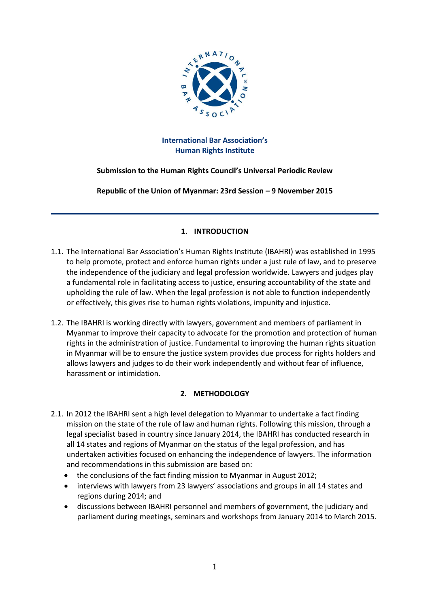

# **International Bar Association's Human Rights Institute**

# **Submission to the Human Rights Council's Universal Periodic Review**

**Republic of the Union of Myanmar: 23rd Session – 9 November 2015**

## **1. INTRODUCTION**

- 1.1. The International Bar Association's Human Rights Institute (IBAHRI) was established in 1995 to help promote, protect and enforce human rights under a just rule of law, and to preserve the independence of the judiciary and legal profession worldwide. Lawyers and judges play a fundamental role in facilitating access to justice, ensuring accountability of the state and upholding the rule of law. When the legal profession is not able to function independently or effectively, this gives rise to human rights violations, impunity and injustice.
- 1.2. The IBAHRI is working directly with lawyers, government and members of parliament in Myanmar to improve their capacity to advocate for the promotion and protection of human rights in the administration of justice. Fundamental to improving the human rights situation in Myanmar will be to ensure the justice system provides due process for rights holders and allows lawyers and judges to do their work independently and without fear of influence, harassment or intimidation.

### **2. METHODOLOGY**

- 2.1. In 2012 the IBAHRI sent a high level delegation to Myanmar to undertake a fact finding mission on the state of the rule of law and human rights. Following this mission, through a legal specialist based in country since January 2014, the IBAHRI has conducted research in all 14 states and regions of Myanmar on the status of the legal profession, and has undertaken activities focused on enhancing the independence of lawyers. The information and recommendations in this submission are based on:
	- the conclusions of the fact finding mission to Myanmar in August 2012;
	- interviews with lawyers from 23 lawyers' associations and groups in all 14 states and regions during 2014; and
	- discussions between IBAHRI personnel and members of government, the judiciary and parliament during meetings, seminars and workshops from January 2014 to March 2015.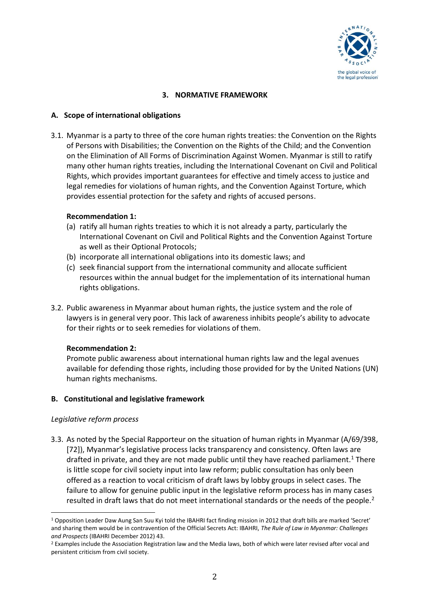

### **3. NORMATIVE FRAMEWORK**

### **A. Scope of international obligations**

3.1. Myanmar is a party to three of the core human rights treaties: the Convention on the Rights of Persons with Disabilities; the Convention on the Rights of the Child; and the Convention on the Elimination of All Forms of Discrimination Against Women. Myanmar is still to ratify many other human rights treaties, including the International Covenant on Civil and Political Rights, which provides important guarantees for effective and timely access to justice and legal remedies for violations of human rights, and the Convention Against Torture, which provides essential protection for the safety and rights of accused persons.

### **Recommendation 1:**

- (a) ratify all human rights treaties to which it is not already a party, particularly the International Covenant on Civil and Political Rights and the Convention Against Torture as well as their Optional Protocols;
- (b) incorporate all international obligations into its domestic laws; and
- (c) seek financial support from the international community and allocate sufficient resources within the annual budget for the implementation of its international human rights obligations.
- 3.2. Public awareness in Myanmar about human rights, the justice system and the role of lawyers is in general very poor. This lack of awareness inhibits people's ability to advocate for their rights or to seek remedies for violations of them.

### **Recommendation 2:**

Promote public awareness about international human rights law and the legal avenues available for defending those rights, including those provided for by the United Nations (UN) human rights mechanisms.

### **B. Constitutional and legislative framework**

### *Legislative reform process*

3.3. As noted by the Special Rapporteur on the situation of human rights in Myanmar (A/69/398, [72]), Myanmar's legislative process lacks transparency and consistency. Often laws are drafted in private, and they are not made public until they have reached parliament.<sup>1</sup> There is little scope for civil society input into law reform; public consultation has only been offered as a reaction to vocal criticism of draft laws by lobby groups in select cases. The failure to allow for genuine public input in the legislative reform process has in many cases resulted in draft laws that do not meet international standards or the needs of the people.<sup>2</sup>

l <sup>1</sup> Opposition Leader Daw Aung San Suu Kyi told the IBAHRI fact finding mission in 2012 that draft bills are marked 'Secret' and sharing them would be in contravention of the Official Secrets Act: IBAHRI, *The Rule of Law in Myanmar: Challenges and Prospects* (IBAHRI December 2012) 43.

<sup>&</sup>lt;sup>2</sup> Examples include the Association Registration law and the Media laws, both of which were later revised after vocal and persistent criticism from civil society.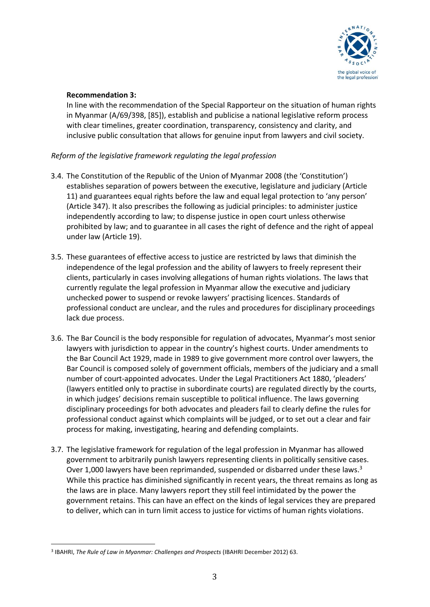

## **Recommendation 3:**

In line with the recommendation of the Special Rapporteur on the situation of human rights in Myanmar (A/69/398, [85]), establish and publicise a national legislative reform process with clear timelines, greater coordination, transparency, consistency and clarity, and inclusive public consultation that allows for genuine input from lawyers and civil society.

# *Reform of the legislative framework regulating the legal profession*

- 3.4. The Constitution of the Republic of the Union of Myanmar 2008 (the 'Constitution') establishes separation of powers between the executive, legislature and judiciary (Article 11) and guarantees equal rights before the law and equal legal protection to 'any person' (Article 347). It also prescribes the following as judicial principles: to administer justice independently according to law; to dispense justice in open court unless otherwise prohibited by law; and to guarantee in all cases the right of defence and the right of appeal under law (Article 19).
- 3.5. These guarantees of effective access to justice are restricted by laws that diminish the independence of the legal profession and the ability of lawyers to freely represent their clients, particularly in cases involving allegations of human rights violations. The laws that currently regulate the legal profession in Myanmar allow the executive and judiciary unchecked power to suspend or revoke lawyers' practising licences. Standards of professional conduct are unclear, and the rules and procedures for disciplinary proceedings lack due process.
- 3.6. The Bar Council is the body responsible for regulation of advocates, Myanmar's most senior lawyers with jurisdiction to appear in the country's highest courts. Under amendments to the Bar Council Act 1929, made in 1989 to give government more control over lawyers, the Bar Council is composed solely of government officials, members of the judiciary and a small number of court-appointed advocates. Under the Legal Practitioners Act 1880, 'pleaders' (lawyers entitled only to practise in subordinate courts) are regulated directly by the courts, in which judges' decisions remain susceptible to political influence. The laws governing disciplinary proceedings for both advocates and pleaders fail to clearly define the rules for professional conduct against which complaints will be judged, or to set out a clear and fair process for making, investigating, hearing and defending complaints.
- 3.7. The legislative framework for regulation of the legal profession in Myanmar has allowed government to arbitrarily punish lawyers representing clients in politically sensitive cases. Over 1,000 lawyers have been reprimanded, suspended or disbarred under these laws.<sup>3</sup> While this practice has diminished significantly in recent years, the threat remains as long as the laws are in place. Many lawyers report they still feel intimidated by the power the government retains. This can have an effect on the kinds of legal services they are prepared to deliver, which can in turn limit access to justice for victims of human rights violations.

 $\overline{\phantom{a}}$ 3 IBAHRI, *The Rule of Law in Myanmar: Challenges and Prospects* (IBAHRI December 2012) 63.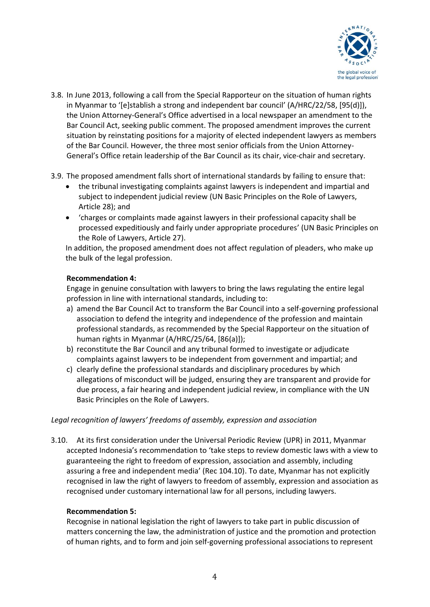

- 3.8. In June 2013, following a call from the Special Rapporteur on the situation of human rights in Myanmar to '[e]stablish a strong and independent bar council' (A/HRC/22/58, [95(d)]), the Union Attorney-General's Office advertised in a local newspaper an amendment to the Bar Council Act, seeking public comment. The proposed amendment improves the current situation by reinstating positions for a majority of elected independent lawyers as members of the Bar Council. However, the three most senior officials from the Union Attorney-General's Office retain leadership of the Bar Council as its chair, vice-chair and secretary.
- 3.9. The proposed amendment falls short of international standards by failing to ensure that:
	- the tribunal investigating complaints against lawyers is independent and impartial and subject to independent judicial review (UN Basic Principles on the Role of Lawyers, Article 28); and
	- 'charges or complaints made against lawyers in their professional capacity shall be processed expeditiously and fairly under appropriate procedures' (UN Basic Principles on the Role of Lawyers, Article 27).

In addition, the proposed amendment does not affect regulation of pleaders, who make up the bulk of the legal profession.

### **Recommendation 4:**

Engage in genuine consultation with lawyers to bring the laws regulating the entire legal profession in line with international standards, including to:

- a) amend the Bar Council Act to transform the Bar Council into a self-governing professional association to defend the integrity and independence of the profession and maintain professional standards, as recommended by the Special Rapporteur on the situation of human rights in Myanmar (A/HRC/25/64, [86(a)]);
- b) reconstitute the Bar Council and any tribunal formed to investigate or adjudicate complaints against lawyers to be independent from government and impartial; and
- c) clearly define the professional standards and disciplinary procedures by which allegations of misconduct will be judged, ensuring they are transparent and provide for due process, a fair hearing and independent judicial review, in compliance with the UN Basic Principles on the Role of Lawyers.

#### *Legal recognition of lawyers' freedoms of assembly, expression and association*

3.10. At its first consideration under the Universal Periodic Review (UPR) in 2011, Myanmar accepted Indonesia's recommendation to 'take steps to review domestic laws with a view to guaranteeing the right to freedom of expression, association and assembly, including assuring a free and independent media' (Rec 104.10). To date, Myanmar has not explicitly recognised in law the right of lawyers to freedom of assembly, expression and association as recognised under customary international law for all persons, including lawyers.

#### **Recommendation 5:**

Recognise in national legislation the right of lawyers to take part in public discussion of matters concerning the law, the administration of justice and the promotion and protection of human rights, and to form and join self-governing professional associations to represent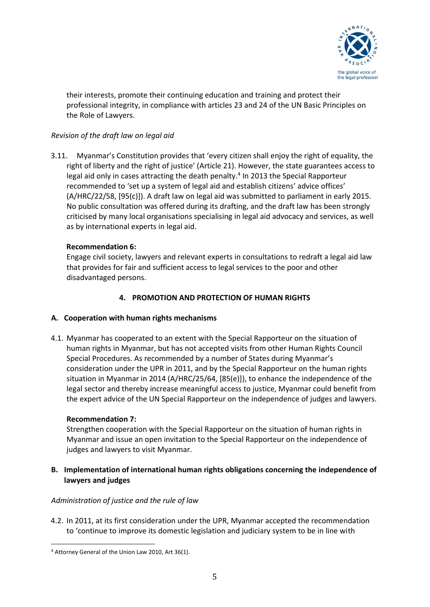

their interests, promote their continuing education and training and protect their professional integrity, in compliance with articles 23 and 24 of the UN Basic Principles on the Role of Lawyers.

# *Revision of the draft law on legal aid*

3.11. Myanmar's Constitution provides that 'every citizen shall enjoy the right of equality, the right of liberty and the right of justice' (Article 21). However, the state guarantees access to legal aid only in cases attracting the death penalty.<sup>4</sup> In 2013 the Special Rapporteur recommended to 'set up a system of legal aid and establish citizens' advice offices' (A/HRC/22/58, [95(c)]). A draft law on legal aid was submitted to parliament in early 2015. No public consultation was offered during its drafting, and the draft law has been strongly criticised by many local organisations specialising in legal aid advocacy and services, as well as by international experts in legal aid.

### **Recommendation 6:**

Engage civil society, lawyers and relevant experts in consultations to redraft a legal aid law that provides for fair and sufficient access to legal services to the poor and other disadvantaged persons.

### **4. PROMOTION AND PROTECTION OF HUMAN RIGHTS**

### **A. Cooperation with human rights mechanisms**

4.1. Myanmar has cooperated to an extent with the Special Rapporteur on the situation of human rights in Myanmar, but has not accepted visits from other Human Rights Council Special Procedures. As recommended by a number of States during Myanmar's consideration under the UPR in 2011, and by the Special Rapporteur on the human rights situation in Myanmar in 2014 (A/HRC/25/64, [85(e)]), to enhance the independence of the legal sector and thereby increase meaningful access to justice, Myanmar could benefit from the expert advice of the UN Special Rapporteur on the independence of judges and lawyers.

#### **Recommendation 7:**

Strengthen cooperation with the Special Rapporteur on the situation of human rights in Myanmar and issue an open invitation to the Special Rapporteur on the independence of judges and lawyers to visit Myanmar.

### **B. Implementation of international human rights obligations concerning the independence of lawyers and judges**

#### *Administration of justice and the rule of law*

4.2. In 2011, at its first consideration under the UPR, Myanmar accepted the recommendation to 'continue to improve its domestic legislation and judiciary system to be in line with

 $\overline{\phantom{a}}$ <sup>4</sup> Attorney General of the Union Law 2010, Art 36(1).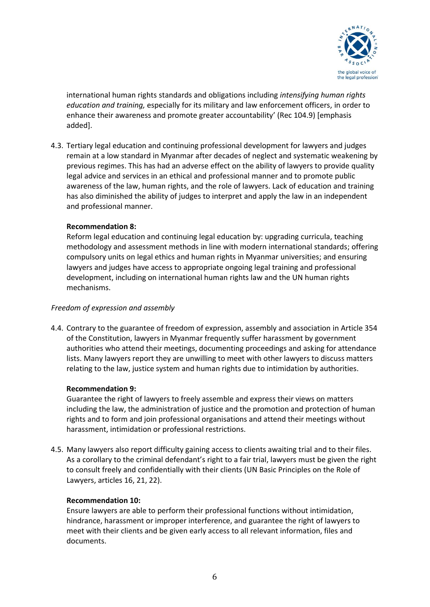

international human rights standards and obligations including *intensifying human rights education and training,* especially for its military and law enforcement officers, in order to enhance their awareness and promote greater accountability' (Rec 104.9) [emphasis added].

4.3. Tertiary legal education and continuing professional development for lawyers and judges remain at a low standard in Myanmar after decades of neglect and systematic weakening by previous regimes. This has had an adverse effect on the ability of lawyers to provide quality legal advice and services in an ethical and professional manner and to promote public awareness of the law, human rights, and the role of lawyers. Lack of education and training has also diminished the ability of judges to interpret and apply the law in an independent and professional manner.

### **Recommendation 8:**

Reform legal education and continuing legal education by: upgrading curricula, teaching methodology and assessment methods in line with modern international standards; offering compulsory units on legal ethics and human rights in Myanmar universities; and ensuring lawyers and judges have access to appropriate ongoing legal training and professional development, including on international human rights law and the UN human rights mechanisms.

### *Freedom of expression and assembly*

4.4. Contrary to the guarantee of freedom of expression, assembly and association in Article 354 of the Constitution, lawyers in Myanmar frequently suffer harassment by government authorities who attend their meetings, documenting proceedings and asking for attendance lists. Many lawyers report they are unwilling to meet with other lawyers to discuss matters relating to the law, justice system and human rights due to intimidation by authorities.

### **Recommendation 9:**

Guarantee the right of lawyers to freely assemble and express their views on matters including the law, the administration of justice and the promotion and protection of human rights and to form and join professional organisations and attend their meetings without harassment, intimidation or professional restrictions.

4.5. Many lawyers also report difficulty gaining access to clients awaiting trial and to their files. As a corollary to the criminal defendant's right to a fair trial, lawyers must be given the right to consult freely and confidentially with their clients (UN Basic Principles on the Role of Lawyers, articles 16, 21, 22).

### **Recommendation 10:**

Ensure lawyers are able to perform their professional functions without intimidation, hindrance, harassment or improper interference, and guarantee the right of lawyers to meet with their clients and be given early access to all relevant information, files and documents.